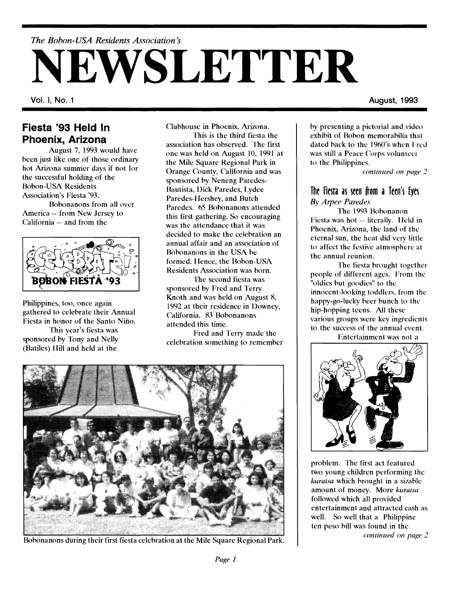# - ---- - -- - - *The* **30** *hon- USA Residents Association* **<sup>3</sup> NEWSLETTER**

#### **Fiesta '93 Held In Phoenix, Arizona**

August 7, 1993 would have been just like one of those ordinary hot Arizona summer days if not for the successful holding of the Bobon-USA Residents Association's Fiesta '93. Bohonanons from all over

America -- from New Jersey to California -- and from the



Philippines, too, once again gathered to celebrate their Annual Fiesta in honor of the Santo Niño. This year's fiesta was sponsored by Tony and Nelly (Batiles) IIill and held at the

Clubhouse in Phoenix, Arizona.

This is the third fiesta the association has observed. 'Ihe first one was held on August 10, 1991 at the Mile Square Regional Park in Orange County, California and was sponsored hy Neneng Paredes-Rautista, Dick Yaredes, Lydee Paredes-Hershey, and Butch Paredes. 65 Robnanons attended this first gathering. So encouraging was the attendance that it was decided to make the celehration an annual affair and an association of Rohnanons in the USA he formed. Hence, the Bobon-USA Residents Association was born.

The second fiesta was sponsored by Fred and Terry Knoth and was held on August 8, 1992 at their residence in Downey, California. 83 Bobonanons attended this time.

Fred and Terry made the celehration something to remember



Bohonanons during their first fiesta celebration at the Mile Square Regional Park.

**Vol. I, No. 1 August, 1993** 

hy presenting a pictorial and video exhibit of Bobon memorabilia that dated back to the 1960's when Fred was still a Peace Corps volunteer to the Philippines.

*cont~nued on puge 2* 

#### The Fiesta as seen from a Teen's Eyes *By Arpee Paredes*

The 1993 Hohonanon Fiesta was hot -- literally. IIeld in Phoenix, Arizona, the land of the eternal sun, the heat did very little to affect the festive atmosphere at the annual reunion.

The fiesta hrought together people of different ages. From the "oldies but goodies" to the innocent-looking toddlers, from the happy-go-lucky heer hunch to the hip-hopping teens. All these various groups were key ingredients to the success of the annual event.

Entertainment was not a



problem. The first act featured two young children performing the *kuratsa* which brought in a sizable amount of money. More *kurazsu*  followed which all provided entertainment and attracted cash as well. So well that a Philippine ten peso hill was found in the *t*continued on page 2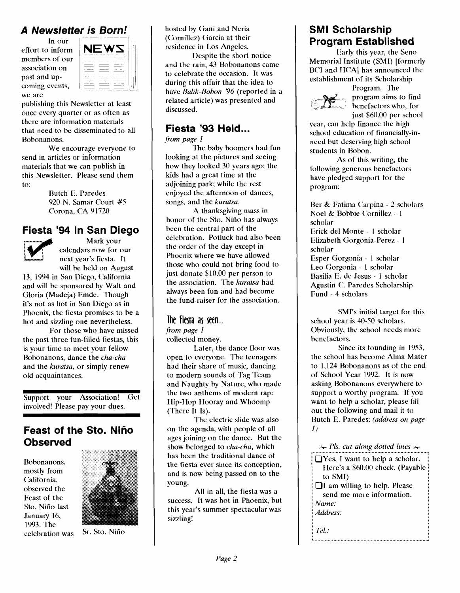### **A Newsletter is Born!**

In our<br>effort to inform we are members of our association on past and upcoming events,



publishing this Newsletter at least once every quarter or as often as there are information materials that need to be disseminated to all Hobonanons.

We encourage everyone to send in articles or information materials that we can publish in this Newsletter. Please send them to:

> Butch E. Paredes 920 N. Samar Court #5 Corona, **CIA** 91720

#### **Fiesta '94 In San Diego**



Mark your calendars now for our next year's fiesta. It will be held on August

13, 1994 in San Diego, California and will be sponsored by Walt and Gloria (Madeja) Emde. Though it's not as hot in San Diego as in Phoenix, the fiesta promises to be a hot and sizzling one nevertheless.

For those who have missed the past three fun-filled fiestas, this is your time to meet your fellow Hobonanons, dance the cha-cha and the kuratsa, or simply renew old acquaintances.

Support your Association! Get involved! Please pay your dues.

#### **Feast of the Sto. Niho Observed**

Hobonanons, mostly from California, observed the Feast of the Sto. Nino last January 16, 1993. The celebration was Sr- Sto. Nifio



hosted by Gani and Neria (Cornillez) Garcia at their residence in Los Angeles.

Despite the short notice and the rain, 43 Bobonanons came to celebrate the occasion. It was during this affair that the idea to have Balik-Bobon '96 (reported in a related article) was presented and discussed.

## **Fiesta '93 Held...**<br>from page 1

The baby boomers had fun looking at the pictures and seeing how they looked 30 years ago; the kids had a great time at the adjoining park; while the rest enjoyed the afternoon of dances, songs, and the kuratsa.

A thanksgiving mass in honor of the Sto. Niño has always been the central part of the celebration. Potluck had also been the order of the day except in Phoenix where we have allowed those who could not bring food to just donate \$10.00 per person to the association. The kuratsa had always been fun and had become the fund-raiser for the association.

#### **The Fiesta as seen...**

from page 1

collected money.

Later, the dance floor was open to everyone. The teenagers had their share of music, dancing to modern sounds of Tag Team and Naughty by Nature, who made the two anthems of modern rap: EIip-Hop Hooray and Whoomp (There It Is).

The electric slide was also on the agenda, with people of all ages joining on the dance. But the show belonged to cha-cha, which has been the traditional dance of the fiesta ever since its conception, and is now being passed on to the young.

All in all, the fiesta was a success. It was hot in Phoenix, but this year's summer spectacular was sizzling!

## **SMI Scholarship Program Established**

Early this year, the Seno Memorial Institute (SMI) [formerly BCI and HCA] has announced the establishment of its Scholarship

Program. The program aims to find *b*enefactors who, for just \$60.00 per school

year, can help finance the high school education of financially-inneed but deserving high school students in Bobon.

As of this writing, the following generous benefactors have pledged support for the program:

Rer & Fatima ('arpina - 2 scholars Noel & Bobbie Cornillez - 1 scholar Erick del Monte - 1 scholar Elizabeth Gorgonia-Perez - 1 scholar Esper Gorgonia - 1 scholar Leo Ciorgonia - **1** scholar Rasilia E. de Jesus - 1 scholar Agustin C. Paredes Scholarship Fund - 4 scholars

SMI's initial target for this school year is 40-50 scholars. Obviously, thc school needs more benefactors.

Since its founding in 1953, the school has become Alma Mater to 1,124 Hobonanons as of the end of School Year 1992. It is now asking Bobonanons everywhere to support a worthy program. If you want to help a scholar, please fill out the following and mail it to Butch E. Paredes: (address on page 1)

 $\rightarrow$  Pls. cut along dotted lines  $\rightarrow$ 

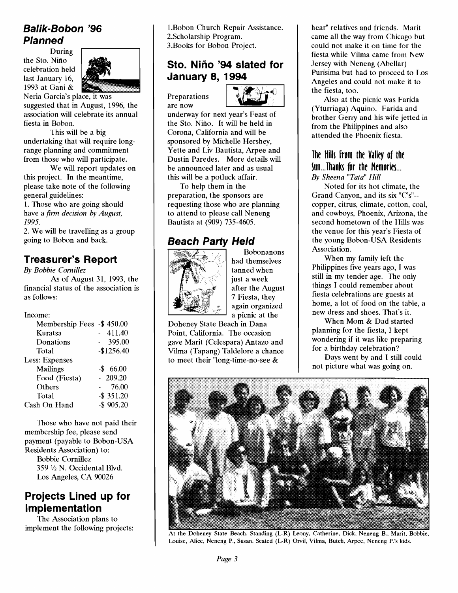## **Balik-Bobon '96 Planned**

celebration held the Sto. Nino During last January 16, 1993 at Gani &



Neria Garcia's place, it was suggested that in August, 1996, the association will celebrate its annual fiesta in Bobon.

This will be a big undertaking that will require longrange planning and commitment from those who will participate.

We will report updates on this project. In the meantime, please take note of the following general guidelines:

1. Those who are going should have a *firm decision by Aupst, 1995.* 

2. We will be travelling as a group going to Bobon and back.

## **Treasurer's Report**

*By Bobbie Cornillez*  As of August 31, 1993, the

financial status of the association is as follows:

#### Income:

| Membership Fees -\$450.00 |               |
|---------------------------|---------------|
| Kuratsa                   | 411.40        |
| Donations                 | 395.00        |
| Total                     | $-$1256.40$   |
| Less: Expenses            |               |
| <b>Mailings</b>           | $-$ \$ 66.00  |
| Food (Fiesta)             | $-209.20$     |
| Others                    | 76.00         |
| Total                     | $-$ \$ 351.20 |
| Cash On Hand              | $-$ \$ 905.20 |

Those who have not paid their membership fee, please send payment (payable to Bobon-USA Residents Association) to: Bobbie Cornillez 359 **1/2** N. Occidental Blvd. Los Angeles, CA 90026

#### **Projects Lined up for Implementation**

The Association plans to implement the following projects:

**796** 1. Bobon Church Repair Assi<br>
2. Scholarship Program.<br>
3. Books for Bobon Project.<br> **Sto. Niño '94 slated January 8, 1994** 1 .Bobon Church Repair Assistance. 2.Scholarship Program. 3.Rooks for Robon Project.

#### **Sto. Nino '94 slated for January 8, 1994**

Preparations are now



underway for next year's Feast of the Sto. Nino. It will be held in Corona, California and will be sponsored by Michelle Hershey, Yette and Liv Bautista, Arpee and Dustin Paredes. More detailswill be announced later and as usual this will be a potluck affair.

To help them in the preparation, the sponsors are requesting those who are planning to attend to please call Neneng Bautista at (909) 735-4605.

## **Beach Party Held**



Bobonanons had themselves tanned when just a week after the August 7 Fiesta, they again organized a picnic at the

Doheney State Beach in Dana Point, California. The occasion gave Marit (Celespara) Antazo and Vilma (Tapang) Taldelore a chance to meet their "long-time-no-see &

hear" relatives and friends. Marit came all the way from Chicago but could not make it on time for the fiesta while Vilma came from New Jersey with Neneng (Abellar) Purisima but had to proceed to Los Angeles and could not make it to the fiesta, too.

Also at the picnic was Farida (Yturriaga) Aquino. Farida and brother Gerry and his wife jetted in from the Philippines and also attended the Phoenix fiesta.

#### The Hilh **From** the Valley of the Sun...Thanks for the Memories... *By Sheena "Tata" Hill*

Noted for its hot climate, the Grand Canyon, and its six " $C$ 's"-copper, citrus, climate, cotton, coal, and cowboys, Phoenix, Arizona, the second hometown of the Hills was the venue for this year's Fiesta of the young Bobon-USA Residents Association.

When my family left thc Philippines five years ago, I was still in my tender age. **'fie** only things I could remember about fiesta celebrations are guests at home, a lot of food on the table, a new dress and shoes. That's it.

When Mom & Dad started planning for the fiesta, I kept wondering if it was like preparing for a birthday celebration?

Days went by and I still could not picture what was going on.



**At the Doheney State Beach. Standing (LR) Leony, Catherine. Dick, Neneng B., Marit, Bobbie,**  I **Louise, Alice, Neneng P., Susan. Seated (L-R) Orvil, Vilma, Butch. Arpee, Nenenp P.'s kids.**